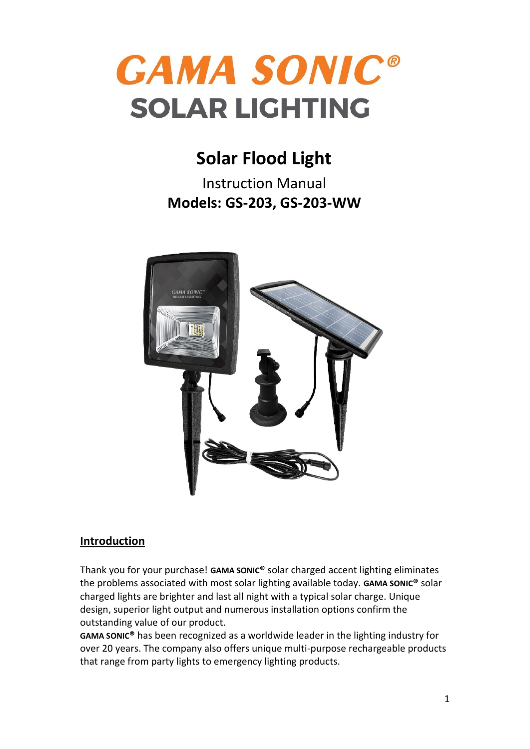

# **Solar Flood Light**

Instruction Manual **Models: GS-203, GS-203-WW**



## **Introduction**

Thank you for your purchase! **GAMA SONIC®** solar charged accent lighting eliminates the problems associated with most solar lighting available today. **GAMA SONIC®** solar charged lights are brighter and last all night with a typical solar charge. Unique design, superior light output and numerous installation options confirm the outstanding value of our product.

**GAMA SONIC®** has been recognized as a worldwide leader in the lighting industry for over 20 years. The company also offers unique multi-purpose rechargeable products that range from party lights to emergency lighting products.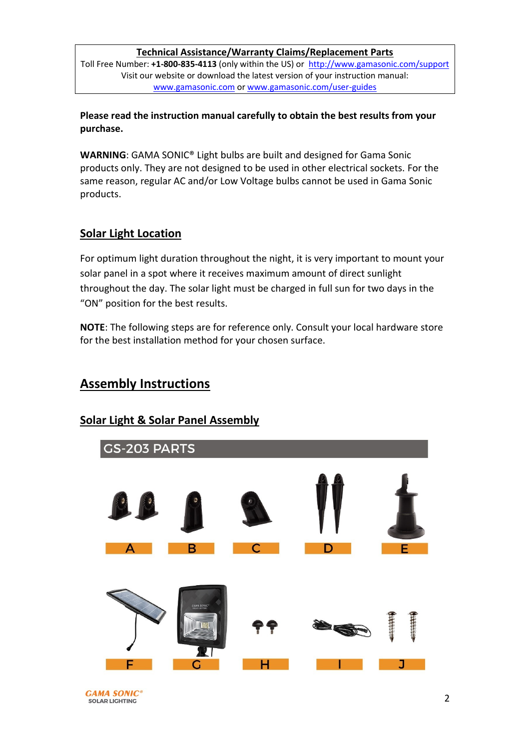#### **Technical Assistance/Warranty Claims/Replacement Parts**

Toll Free Number: **+1-800-835-4113** (only within the US) or<http://www.gamasonic.com/support> Visit our website or download the latest version of your instruction manual: [www.gamasonic.com](https://gamasonic.com/) or [www.gamasonic.com/user-guides](file:///C:/Users/PM/AppData/Local/Microsoft/Windows/Temporary%20Internet%20Files/Content.Outlook/W5KHCU4N/www.gamasonic.com/user-guides)

**Please read the instruction manual carefully to obtain the best results from your purchase.**

**WARNING**: GAMA SONIC® Light bulbs are built and designed for Gama Sonic products only. They are not designed to be used in other electrical sockets. For the same reason, regular AC and/or Low Voltage bulbs cannot be used in Gama Sonic products.

### **Solar Light Location**

For optimum light duration throughout the night, it is very important to mount your solar panel in a spot where it receives maximum amount of direct sunlight throughout the day. The solar light must be charged in full sun for two days in the "ON" position for the best results.

**NOTE**: The following steps are for reference only. Consult your local hardware store for the best installation method for your chosen surface.

## **Assembly Instructions**

### **Solar Light & Solar Panel Assembly**

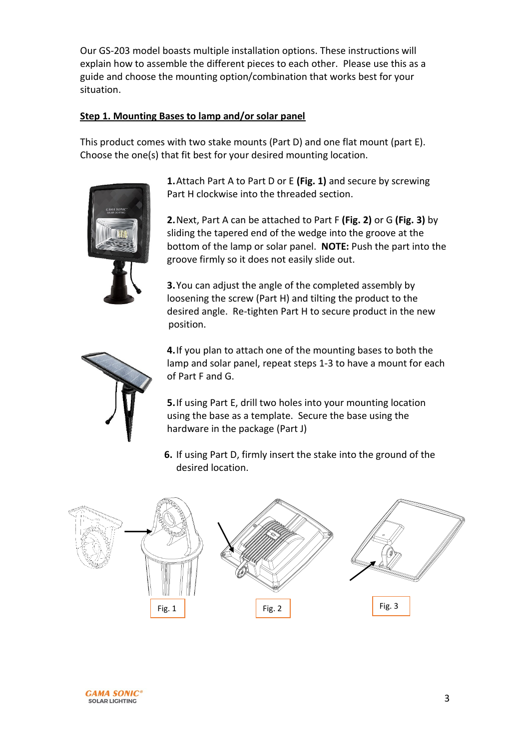Our GS-203 model boasts multiple installation options. These instructions will explain how to assemble the different pieces to each other. Please use this as a guide and choose the mounting option/combination that works best for your situation.

#### **Step 1. Mounting Bases to lamp and/or solar panel**

This product comes with two stake mounts (Part D) and one flat mount (part E). Choose the one(s) that fit best for your desired mounting location.



**1.**Attach Part A to Part D or E **(Fig. 1)** and secure by screwing Part H clockwise into the threaded section.

**2.**Next, Part A can be attached to Part F **(Fig. 2)** or G **(Fig. 3)** by sliding the tapered end of the wedge into the groove at the bottom of the lamp or solar panel. **NOTE:** Push the part into the groove firmly so it does not easily slide out.

**3.**You can adjust the angle of the completed assembly by loosening the screw (Part H) and tilting the product to the desired angle. Re-tighten Part H to secure product in the new position.



**4.**If you plan to attach one of the mounting bases to both the lamp and solar panel, repeat steps 1-3 to have a mount for each of Part F and G.

**5.**If using Part E, drill two holes into your mounting location using the base as a template. Secure the base using the hardware in the package (Part J)

**6.** If using Part D, firmly insert the stake into the ground of the desired location.



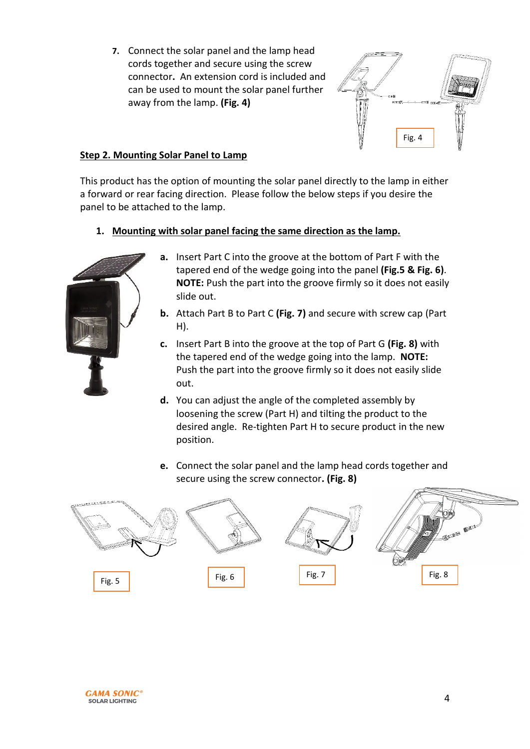**7.** Connect the solar panel and the lamp head cords together and secure using the screw connector**.** An extension cord is included and can be used to mount the solar panel further away from the lamp. **(Fig. 4)**



#### **Step 2. Mounting Solar Panel to Lamp**

This product has the option of mounting the solar panel directly to the lamp in either a forward or rear facing direction. Please follow the below steps if you desire the panel to be attached to the lamp.

**1. Mounting with solar panel facing the same direction as the lamp.**



- **a.** Insert Part C into the groove at the bottom of Part F with the tapered end of the wedge going into the panel **(Fig.5 & Fig. 6)**. **NOTE:** Push the part into the groove firmly so it does not easily slide out.
- **b.** Attach Part B to Part C **(Fig. 7)** and secure with screw cap (Part H).
- **c.** Insert Part B into the groove at the top of Part G **(Fig. 8)** with the tapered end of the wedge going into the lamp. **NOTE:** Push the part into the groove firmly so it does not easily slide out.
- **d.** You can adjust the angle of the completed assembly by loosening the screw (Part H) and tilting the product to the desired angle. Re-tighten Part H to secure product in the new position.
- **e.** Connect the solar panel and the lamp head cords together and secure using the screw connector**. (Fig. 8)**



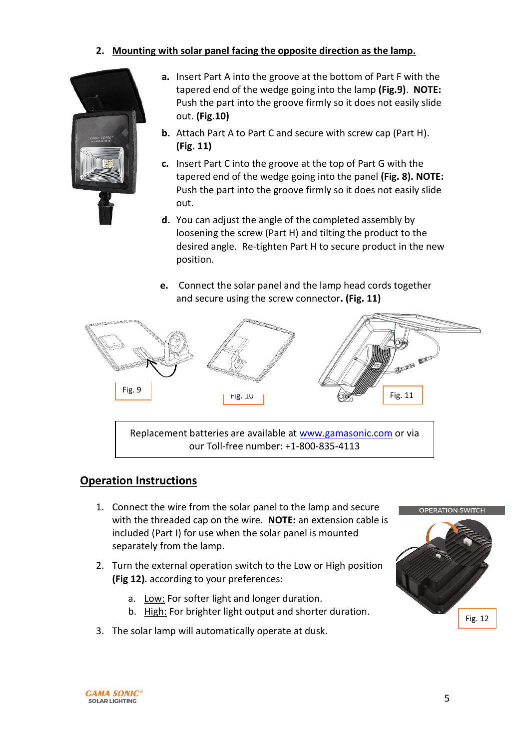#### **2. Mounting with solar panel facing the opposite direction as the lamp.**



- **a.** Insert Part A into the groove at the bottom of Part F with the tapered end of the wedge going into the lamp **(Fig.9)**. **NOTE:** Push the part into the groove firmly so it does not easily slide out. **(Fig.10)**
- **b.** Attach Part A to Part C and secure with screw cap (Part H). **(Fig. 11)**
- **c.** Insert Part C into the groove at the top of Part G with the tapered end of the wedge going into the panel **(Fig. 8). NOTE:** Push the part into the groove firmly so it does not easily slide out.
- **d.** You can adjust the angle of the completed assembly by loosening the screw (Part H) and tilting the product to the desired angle. Re-tighten Part H to secure product in the new position.
- **e.** Connect the solar panel and the lamp head cords together and secure using the screw connector**. (Fig. 11)**



Replacement batteries are available at [www.gamasonic.com](http://www.gamasonic.com/) or via our Toll-free number: +1-800-835-4113

### **Operation Instructions**

- 1. Connect the wire from the solar panel to the lamp and secure with the threaded cap on the wire. **NOTE:** an extension cable is included (Part I) for use when the solar panel is mounted separately from the lamp.
- 2. Turn the external operation switch to the Low or High position **(Fig 12)**. according to your preferences:
	- a. Low: For softer light and longer duration.
	- b. High: For brighter light output and shorter duration.
- 3. The solar lamp will automatically operate at dusk.